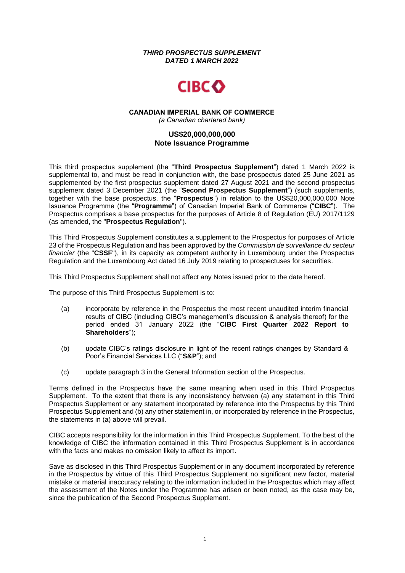*THIRD PROSPECTUS SUPPLEMENT DATED 1 MARCH 2022*



#### **CANADIAN IMPERIAL BANK OF COMMERCE** *(a Canadian chartered bank)*

# **US\$20,000,000,000 Note Issuance Programme**

This third prospectus supplement (the "**Third Prospectus Supplement**") dated 1 March 2022 is supplemental to, and must be read in conjunction with, the base prospectus dated 25 June 2021 as supplemented by the first prospectus supplement dated 27 August 2021 and the second prospectus supplement dated 3 December 2021 (the "**Second Prospectus Supplement**") (such supplements, together with the base prospectus, the "**Prospectus**") in relation to the US\$20,000,000,000 Note Issuance Programme (the "**Programme**") of Canadian Imperial Bank of Commerce ("**CIBC**"). The Prospectus comprises a base prospectus for the purposes of Article 8 of Regulation (EU) 2017/1129 (as amended, the "**Prospectus Regulation**").

This Third Prospectus Supplement constitutes a supplement to the Prospectus for purposes of Article 23 of the Prospectus Regulation and has been approved by the *Commission de surveillance du secteur financier* (the "**CSSF**"), in its capacity as competent authority in Luxembourg under the Prospectus Regulation and the Luxembourg Act dated 16 July 2019 relating to prospectuses for securities.

This Third Prospectus Supplement shall not affect any Notes issued prior to the date hereof.

The purpose of this Third Prospectus Supplement is to:

- (a) incorporate by reference in the Prospectus the most recent unaudited interim financial results of CIBC (including CIBC's management's discussion & analysis thereof) for the period ended 31 January 2022 (the "**CIBC First Quarter 2022 Report to Shareholders**");
- (b) update CIBC's ratings disclosure in light of the recent ratings changes by Standard & Poor's Financial Services LLC ("**S&P**"); and
- (c) update paragraph 3 in the General Information section of the Prospectus.

Terms defined in the Prospectus have the same meaning when used in this Third Prospectus Supplement. To the extent that there is any inconsistency between (a) any statement in this Third Prospectus Supplement or any statement incorporated by reference into the Prospectus by this Third Prospectus Supplement and (b) any other statement in, or incorporated by reference in the Prospectus, the statements in (a) above will prevail.

CIBC accepts responsibility for the information in this Third Prospectus Supplement. To the best of the knowledge of CIBC the information contained in this Third Prospectus Supplement is in accordance with the facts and makes no omission likely to affect its import.

Save as disclosed in this Third Prospectus Supplement or in any document incorporated by reference in the Prospectus by virtue of this Third Prospectus Supplement no significant new factor, material mistake or material inaccuracy relating to the information included in the Prospectus which may affect the assessment of the Notes under the Programme has arisen or been noted, as the case may be, since the publication of the Second Prospectus Supplement.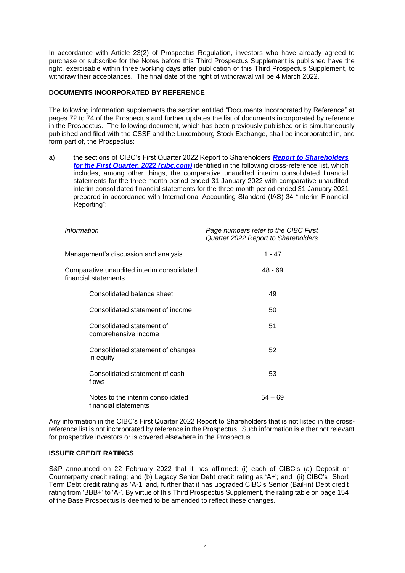In accordance with Article 23(2) of Prospectus Regulation, investors who have already agreed to purchase or subscribe for the Notes before this Third Prospectus Supplement is published have the right, exercisable within three working days after publication of this Third Prospectus Supplement, to withdraw their acceptances. The final date of the right of withdrawal will be 4 March 2022.

## **DOCUMENTS INCORPORATED BY REFERENCE**

The following information supplements the section entitled "Documents Incorporated by Reference" at pages 72 to 74 of the Prospectus and further updates the list of documents incorporated by reference in the Prospectus. The following document, which has been previously published or is simultaneously published and filed with the CSSF and the Luxembourg Stock Exchange, shall be incorporated in, and form part of, the Prospectus:

a) the sections of CIBC's First Quarter 2022 Report to Shareholders *[Report to Shareholders](https://www.cibc.com/content/dam/cibc-public-assets/about-cibc/investor-relations/pdfs/quarterly-results/2022/q122report-en.pdf)  [for the First Quarter, 2022 \(cibc.com\)](https://www.cibc.com/content/dam/cibc-public-assets/about-cibc/investor-relations/pdfs/quarterly-results/2022/q122report-en.pdf)* identified in the following cross-reference list, which includes, among other things, the comparative unaudited interim consolidated financial statements for the three month period ended 31 January 2022 with comparative unaudited interim consolidated financial statements for the three month period ended 31 January 2021 prepared in accordance with International Accounting Standard (IAS) 34 "Interim Financial Reporting":

| Information                                                        | Page numbers refer to the CIBC First<br>Quarter 2022 Report to Shareholders |
|--------------------------------------------------------------------|-----------------------------------------------------------------------------|
| Management's discussion and analysis                               | $1 - 47$                                                                    |
| Comparative unaudited interim consolidated<br>financial statements | $48 - 69$                                                                   |
| Consolidated balance sheet                                         | 49                                                                          |
| Consolidated statement of income                                   | 50                                                                          |
| Consolidated statement of<br>comprehensive income                  | 51                                                                          |
| Consolidated statement of changes<br>in equity                     | 52                                                                          |
| Consolidated statement of cash<br>flows                            | 53                                                                          |
| Notes to the interim consolidated<br>financial statements          | $54 - 69$                                                                   |

Any information in the CIBC's First Quarter 2022 Report to Shareholders that is not listed in the crossreference list is not incorporated by reference in the Prospectus. Such information is either not relevant for prospective investors or is covered elsewhere in the Prospectus.

## **ISSUER CREDIT RATINGS**

S&P announced on 22 February 2022 that it has affirmed: (i) each of CIBC's (a) Deposit or Counterparty credit rating; and (b) Legacy Senior Debt credit rating as 'A+'; and (ii) CIBC's Short Term Debt credit rating as 'A-1' and, further that it has upgraded CIBC's Senior (Bail-in) Debt credit rating from 'BBB+' to 'A-'. By virtue of this Third Prospectus Supplement, the rating table on page 154 of the Base Prospectus is deemed to be amended to reflect these changes.